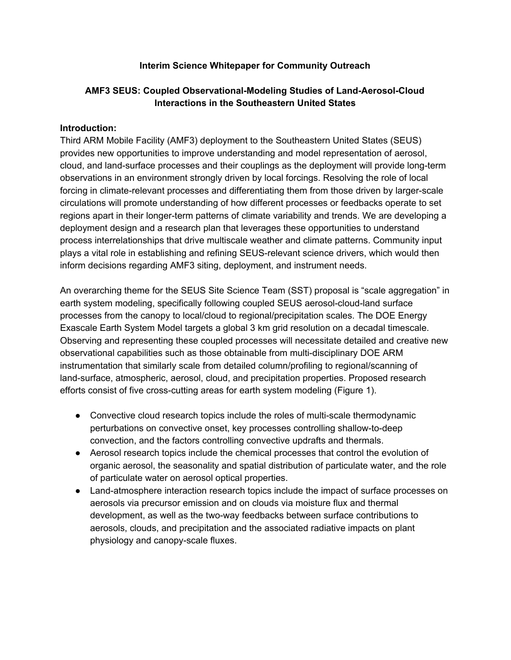### **Interim Science Whitepaper for Community Outreach**

## **AMF3 SEUS: Coupled Observational-Modeling Studies of Land-Aerosol-Cloud Interactions in the Southeastern United States**

#### **Introduction:**

Third ARM Mobile Facility (AMF3) deployment to the Southeastern United States (SEUS) provides new opportunities to improve understanding and model representation of aerosol, cloud, and land-surface processes and their couplings as the deployment will provide long-term observations in an environment strongly driven by local forcings. Resolving the role of local forcing in climate-relevant processes and differentiating them from those driven by larger-scale circulations will promote understanding of how different processes or feedbacks operate to set regions apart in their longer-term patterns of climate variability and trends. We are developing a deployment design and a research plan that leverages these opportunities to understand process interrelationships that drive multiscale weather and climate patterns. Community input plays a vital role in establishing and refining SEUS-relevant science drivers, which would then inform decisions regarding AMF3 siting, deployment, and instrument needs.

An overarching theme for the SEUS Site Science Team (SST) proposal is "scale aggregation" in earth system modeling, specifically following coupled SEUS aerosol-cloud-land surface processes from the canopy to local/cloud to regional/precipitation scales. The DOE Energy Exascale Earth System Model targets a global 3 km grid resolution on a decadal timescale. Observing and representing these coupled processes will necessitate detailed and creative new observational capabilities such as those obtainable from multi-disciplinary DOE ARM instrumentation that similarly scale from detailed column/profiling to regional/scanning of land-surface, atmospheric, aerosol, cloud, and precipitation properties. Proposed research efforts consist of five cross-cutting areas for earth system modeling (Figure 1).

- Convective cloud research topics include the roles of multi-scale thermodynamic perturbations on convective onset, key processes controlling shallow-to-deep convection, and the factors controlling convective updrafts and thermals.
- Aerosol research topics include the chemical processes that control the evolution of organic aerosol, the seasonality and spatial distribution of particulate water, and the role of particulate water on aerosol optical properties.
- Land-atmosphere interaction research topics include the impact of surface processes on aerosols via precursor emission and on clouds via moisture flux and thermal development, as well as the two-way feedbacks between surface contributions to aerosols, clouds, and precipitation and the associated radiative impacts on plant physiology and canopy-scale fluxes.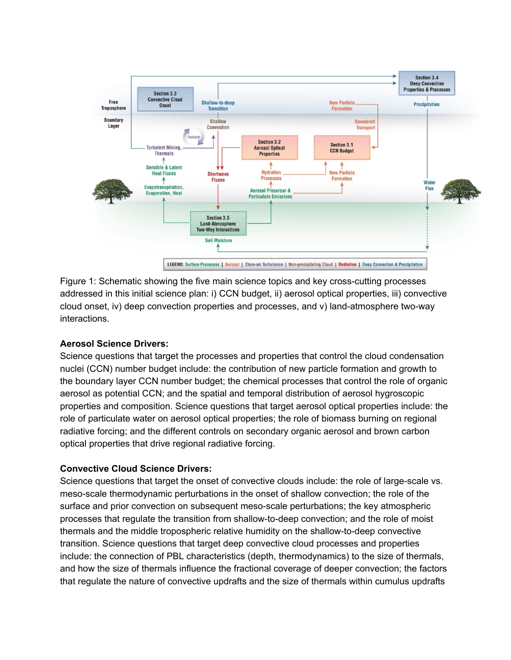

Figure 1: Schematic showing the five main science topics and key cross-cutting processes addressed in this initial science plan: i) CCN budget, ii) aerosol optical properties, iii) convective cloud onset, iv) deep convection properties and processes, and v) land-atmosphere two-way interactions.

#### **Aerosol Science Drivers:**

Science questions that target the processes and properties that control the cloud condensation nuclei (CCN) number budget include: the contribution of new particle formation and growth to the boundary layer CCN number budget; the chemical processes that control the role of organic aerosol as potential CCN; and the spatial and temporal distribution of aerosol hygroscopic properties and composition. Science questions that target aerosol optical properties include: the role of particulate water on aerosol optical properties; the role of biomass burning on regional radiative forcing; and the different controls on secondary organic aerosol and brown carbon optical properties that drive regional radiative forcing.

#### **Convective Cloud Science Drivers:**

Science questions that target the onset of convective clouds include: the role of large-scale vs. meso-scale thermodynamic perturbations in the onset of shallow convection; the role of the surface and prior convection on subsequent meso-scale perturbations; the key atmospheric processes that regulate the transition from shallow-to-deep convection; and the role of moist thermals and the middle tropospheric relative humidity on the shallow-to-deep convective transition. Science questions that target deep convective cloud processes and properties include: the connection of PBL characteristics (depth, thermodynamics) to the size of thermals, and how the size of thermals influence the fractional coverage of deeper convection; the factors that regulate the nature of convective updrafts and the size of thermals within cumulus updrafts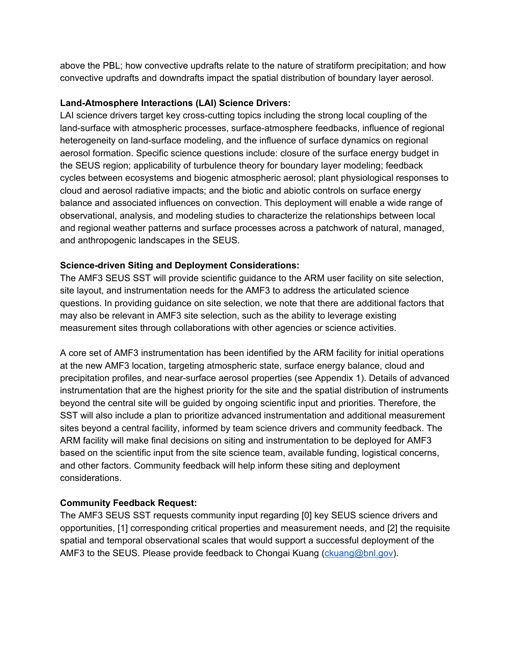above the PBL; how convective updrafts relate to the nature of stratiform precipitation; and how convective updrafts and downdrafts impact the spatial distribution of boundary layer aerosol.

### **Land-Atmosphere Interactions (LAI) Science Drivers:**

LAI science drivers target key cross-cutting topics including the strong local coupling of the land-surface with atmospheric processes, surface-atmosphere feedbacks, influence of regional heterogeneity on land-surface modeling, and the influence of surface dynamics on regional aerosol formation. Specific science questions include: closure of the surface energy budget in the SEUS region; applicability of turbulence theory for boundary layer modeling; feedback cycles between ecosystems and biogenic atmospheric aerosol; plant physiological responses to cloud and aerosol radiative impacts; and the biotic and abiotic controls on surface energy balance and associated influences on convection. This deployment will enable a wide range of observational, analysis, and modeling studies to characterize the relationships between local and regional weather patterns and surface processes across a patchwork of natural, managed, and anthropogenic landscapes in the SEUS.

## **Science-driven Siting and Deployment Considerations:**

The AMF3 SEUS SST will provide scientific guidance to the ARM user facility on site selection, site layout, and instrumentation needs for the AMF3 to address the articulated science questions. In providing guidance on site selection, we note that there are additional factors that may also be relevant in AMF3 site selection, such as the ability to leverage existing measurement sites through collaborations with other agencies or science activities.

A core set of AMF3 instrumentation has been identified by the ARM facility for initial operations at the new AMF3 location, targeting atmospheric state, surface energy balance, cloud and precipitation profiles, and near-surface aerosol properties (see Appendix 1). Details of advanced instrumentation that are the highest priority for the site and the spatial distribution of instruments beyond the central site will be guided by ongoing scientific input and priorities. Therefore, the SST will also include a plan to prioritize advanced instrumentation and additional measurement sites beyond a central facility, informed by team science drivers and community feedback. The ARM facility will make final decisions on siting and instrumentation to be deployed for AMF3 based on the scientific input from the site science team, available funding, logistical concerns, and other factors. Community feedback will help inform these siting and deployment considerations.

# **Community Feedback Request:**

The AMF3 SEUS SST requests community input regarding [0] key SEUS science drivers and opportunities, [1] corresponding critical properties and measurement needs, and [2] the requisite spatial and temporal observational scales that would support a successful deployment of the AMF3 to the SEUS. Please provide feedback to Chongai Kuang [\(ckuang@bnl.gov](mailto:ckuang@bnl.gov)).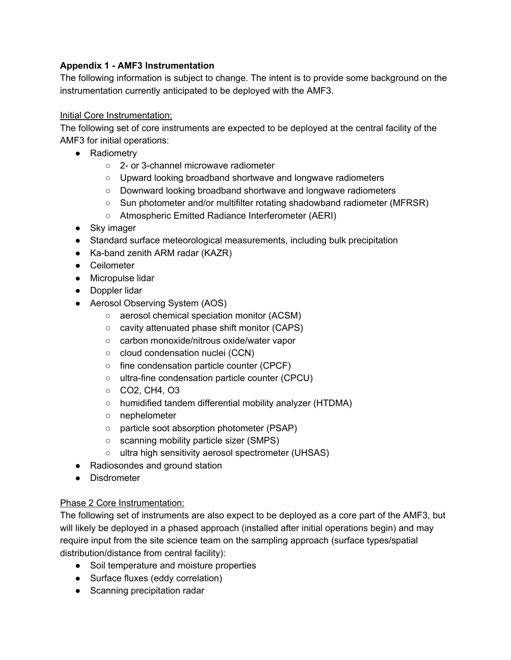## **Appendix 1 - AMF3 Instrumentation**

The following information is subject to change. The intent is to provide some background on the instrumentation currently anticipated to be deployed with the AMF3.

### Initial Core Instrumentation:

The following set of core instruments are expected to be deployed at the central facility of the AMF3 for initial operations:

- Radiometry
	- 2- or 3-channel microwave radiometer
	- Upward looking broadband shortwave and longwave radiometers
	- Downward looking broadband shortwave and longwave radiometers
	- Sun photometer and/or multifilter rotating shadowband radiometer (MFRSR)
	- Atmospheric Emitted Radiance Interferometer (AERI)
- Sky imager
- Standard surface meteorological measurements, including bulk precipitation
- Ka-band zenith ARM radar (KAZR)
- Ceilometer
- Micropulse lidar
- Doppler lidar
- Aerosol Observing System (AOS)
	- aerosol chemical speciation monitor (ACSM)
	- cavity attenuated phase shift monitor (CAPS)
	- carbon monoxide/nitrous oxide/water vapor
	- cloud condensation nuclei (CCN)
	- fine condensation particle counter (CPCF)
	- ultra-fine condensation particle counter (CPCU)
	- CO2, CH4, O3
	- humidified tandem differential mobility analyzer (HTDMA)
	- nephelometer
	- particle soot absorption photometer (PSAP)
	- scanning mobility particle sizer (SMPS)
	- ultra high sensitivity aerosol spectrometer (UHSAS)
- Radiosondes and ground station
- Disdrometer

### Phase 2 Core Instrumentation:

The following set of instruments are also expect to be deployed as a core part of the AMF3, but will likely be deployed in a phased approach (installed after initial operations begin) and may require input from the site science team on the sampling approach (surface types/spatial distribution/distance from central facility):

- Soil temperature and moisture properties
- Surface fluxes (eddy correlation)
- Scanning precipitation radar